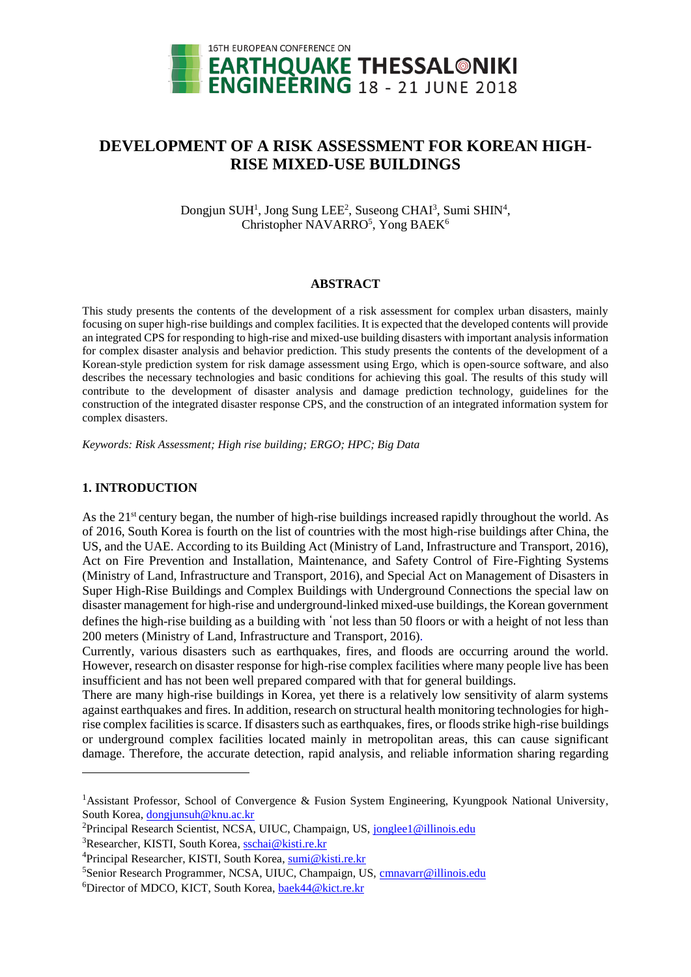

# **DEVELOPMENT OF A RISK ASSESSMENT FOR KOREAN HIGH-RISE MIXED-USE BUILDINGS**

Dongjun SUH<sup>1</sup>, Jong Sung LEE<sup>2</sup>, Suseong CHAI<sup>3</sup>, Sumi SHIN<sup>4</sup>, Christopher NAVARRO<sup>5</sup>, Yong BAEK<sup>6</sup>

#### **ABSTRACT**

This study presents the contents of the development of a risk assessment for complex urban disasters, mainly focusing on super high-rise buildings and complex facilities. It is expected that the developed contents will provide an integrated CPS for responding to high-rise and mixed-use building disasters with important analysis information for complex disaster analysis and behavior prediction. This study presents the contents of the development of a Korean-style prediction system for risk damage assessment using Ergo, which is open-source software, and also describes the necessary technologies and basic conditions for achieving this goal. The results of this study will contribute to the development of disaster analysis and damage prediction technology, guidelines for the construction of the integrated disaster response CPS, and the construction of an integrated information system for complex disasters.

*Keywords: Risk Assessment; High rise building; ERGO; HPC; Big Data*

#### **1. INTRODUCTION**

l

As the 21<sup>st</sup> century began, the number of high-rise buildings increased rapidly throughout the world. As of 2016, South Korea is fourth on the list of countries with the most high-rise buildings after China, the US, and the UAE. According to its Building Act (Ministry of Land, Infrastructure and Transport, 2016), Act on Fire Prevention and Installation, Maintenance, and Safety Control of Fire-Fighting Systems (Ministry of Land, Infrastructure and Transport, 2016), and Special Act on Management of Disasters in Super High-Rise Buildings and Complex Buildings with Underground Connections the special law on disaster management for high-rise and underground-linked mixed-use buildings, the Korean government defines the high-rise building as a building with 'not less than 50 floors or with a height of not less than 200 meters (Ministry of Land, Infrastructure and Transport, 2016).

Currently, various disasters such as earthquakes, fires, and floods are occurring around the world. However, research on disaster response for high-rise complex facilities where many people live has been insufficient and has not been well prepared compared with that for general buildings.

There are many high-rise buildings in Korea, yet there is a relatively low sensitivity of alarm systems against earthquakes and fires. In addition, research on structural health monitoring technologies for highrise complex facilities is scarce. If disasters such as earthquakes, fires, or floods strike high-rise buildings or underground complex facilities located mainly in metropolitan areas, this can cause significant damage. Therefore, the accurate detection, rapid analysis, and reliable information sharing regarding

<sup>&</sup>lt;sup>1</sup>Assistant Professor, School of Convergence & Fusion System Engineering, Kyungpook National University, South Korea, [dongjunsuh@knu.ac.kr](mailto:dongjunsuh@knu.ac.kr)

<sup>&</sup>lt;sup>2</sup>Principal Research Scientist, NCSA, UIUC, Champaign, US[, jonglee1@illinois.edu](mailto:jonglee1@illinois.edu)

<sup>&</sup>lt;sup>3</sup>Researcher, KISTI, South Korea[, sschai@kisti.re.kr](mailto:sschai@kisti.re.kr)

<sup>4</sup>Principal Researcher, KISTI, South Korea, [sumi@kisti.re.kr](mailto:sumi@kisti.re.kr)

<sup>5</sup>Senior Research Programmer, NCSA, UIUC, Champaign, US, [cmnavarr@illinois.edu](mailto:cmnavarr@illinois.edu)

<sup>6</sup>Director of MDCO, KICT, South Korea[, baek44@kict.re.kr](mailto:baek44@kict.re.kr)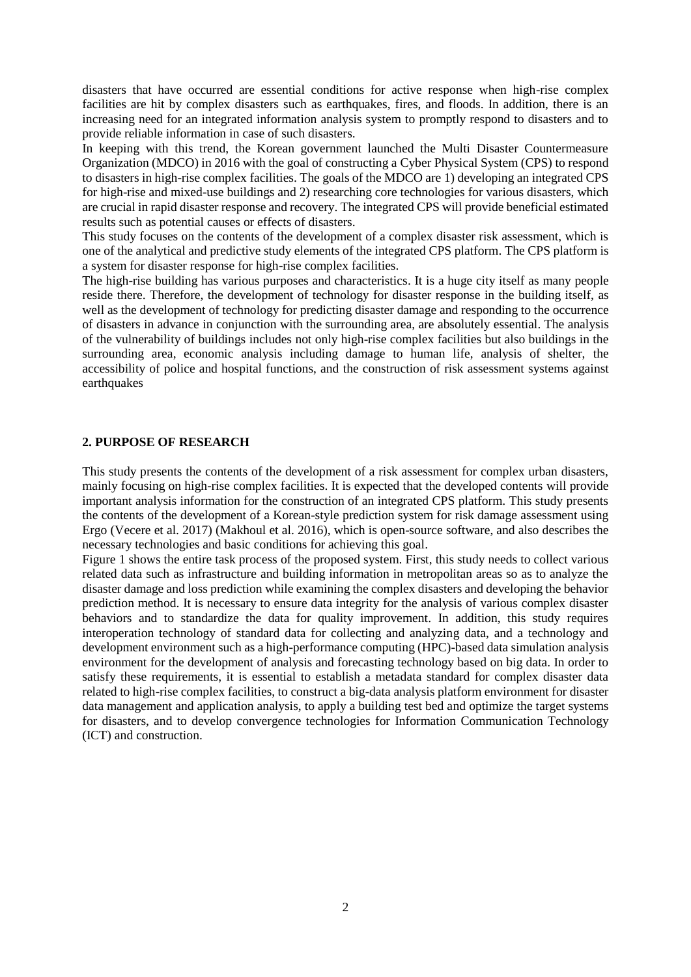disasters that have occurred are essential conditions for active response when high-rise complex facilities are hit by complex disasters such as earthquakes, fires, and floods. In addition, there is an increasing need for an integrated information analysis system to promptly respond to disasters and to provide reliable information in case of such disasters.

In keeping with this trend, the Korean government launched the Multi Disaster Countermeasure Organization (MDCO) in 2016 with the goal of constructing a Cyber Physical System (CPS) to respond to disasters in high-rise complex facilities. The goals of the MDCO are 1) developing an integrated CPS for high-rise and mixed-use buildings and 2) researching core technologies for various disasters, which are crucial in rapid disaster response and recovery. The integrated CPS will provide beneficial estimated results such as potential causes or effects of disasters.

This study focuses on the contents of the development of a complex disaster risk assessment, which is one of the analytical and predictive study elements of the integrated CPS platform. The CPS platform is a system for disaster response for high-rise complex facilities.

The high-rise building has various purposes and characteristics. It is a huge city itself as many people reside there. Therefore, the development of technology for disaster response in the building itself, as well as the development of technology for predicting disaster damage and responding to the occurrence of disasters in advance in conjunction with the surrounding area, are absolutely essential. The analysis of the vulnerability of buildings includes not only high-rise complex facilities but also buildings in the surrounding area, economic analysis including damage to human life, analysis of shelter, the accessibility of police and hospital functions, and the construction of risk assessment systems against earthquakes

#### **2. PURPOSE OF RESEARCH**

This study presents the contents of the development of a risk assessment for complex urban disasters, mainly focusing on high-rise complex facilities. It is expected that the developed contents will provide important analysis information for the construction of an integrated CPS platform. This study presents the contents of the development of a Korean-style prediction system for risk damage assessment using Ergo (Vecere et al. 2017) (Makhoul et al. 2016), which is open-source software, and also describes the necessary technologies and basic conditions for achieving this goal.

Figure 1 shows the entire task process of the proposed system. First, this study needs to collect various related data such as infrastructure and building information in metropolitan areas so as to analyze the disaster damage and loss prediction while examining the complex disasters and developing the behavior prediction method. It is necessary to ensure data integrity for the analysis of various complex disaster behaviors and to standardize the data for quality improvement. In addition, this study requires interoperation technology of standard data for collecting and analyzing data, and a technology and development environment such as a high-performance computing (HPC)-based data simulation analysis environment for the development of analysis and forecasting technology based on big data. In order to satisfy these requirements, it is essential to establish a metadata standard for complex disaster data related to high-rise complex facilities, to construct a big-data analysis platform environment for disaster data management and application analysis, to apply a building test bed and optimize the target systems for disasters, and to develop convergence technologies for Information Communication Technology (ICT) and construction.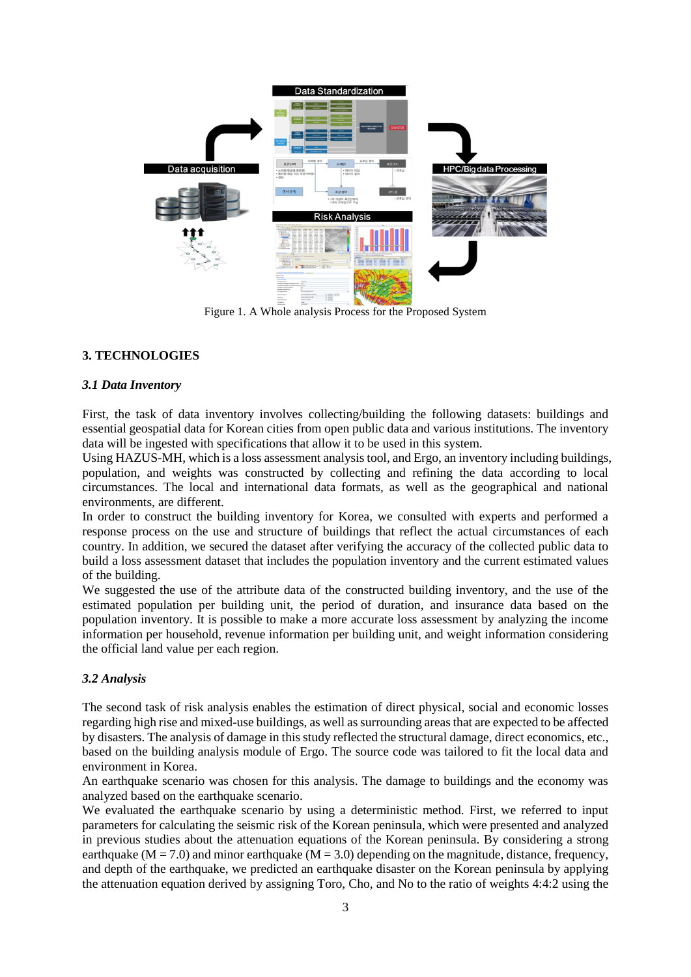

Figure 1. A Whole analysis Process for the Proposed System

# **3. TECHNOLOGIES**

### *3.1 Data Inventory*

First, the task of data inventory involves collecting/building the following datasets: buildings and essential geospatial data for Korean cities from open public data and various institutions. The inventory data will be ingested with specifications that allow it to be used in this system.

Using HAZUS-MH, which is a loss assessment analysis tool, and Ergo, an inventory including buildings, population, and weights was constructed by collecting and refining the data according to local circumstances. The local and international data formats, as well as the geographical and national environments, are different.

In order to construct the building inventory for Korea, we consulted with experts and performed a response process on the use and structure of buildings that reflect the actual circumstances of each country. In addition, we secured the dataset after verifying the accuracy of the collected public data to build a loss assessment dataset that includes the population inventory and the current estimated values of the building.

We suggested the use of the attribute data of the constructed building inventory, and the use of the estimated population per building unit, the period of duration, and insurance data based on the population inventory. It is possible to make a more accurate loss assessment by analyzing the income information per household, revenue information per building unit, and weight information considering the official land value per each region.

# *3.2 Analysis*

The second task of risk analysis enables the estimation of direct physical, social and economic losses regarding high rise and mixed-use buildings, as well as surrounding areas that are expected to be affected by disasters. The analysis of damage in this study reflected the structural damage, direct economics, etc., based on the building analysis module of Ergo. The source code was tailored to fit the local data and environment in Korea.

An earthquake scenario was chosen for this analysis. The damage to buildings and the economy was analyzed based on the earthquake scenario.

We evaluated the earthquake scenario by using a deterministic method. First, we referred to input parameters for calculating the seismic risk of the Korean peninsula, which were presented and analyzed in previous studies about the attenuation equations of the Korean peninsula. By considering a strong earthquake ( $M = 7.0$ ) and minor earthquake ( $M = 3.0$ ) depending on the magnitude, distance, frequency, and depth of the earthquake, we predicted an earthquake disaster on the Korean peninsula by applying the attenuation equation derived by assigning Toro, Cho, and No to the ratio of weights 4:4:2 using the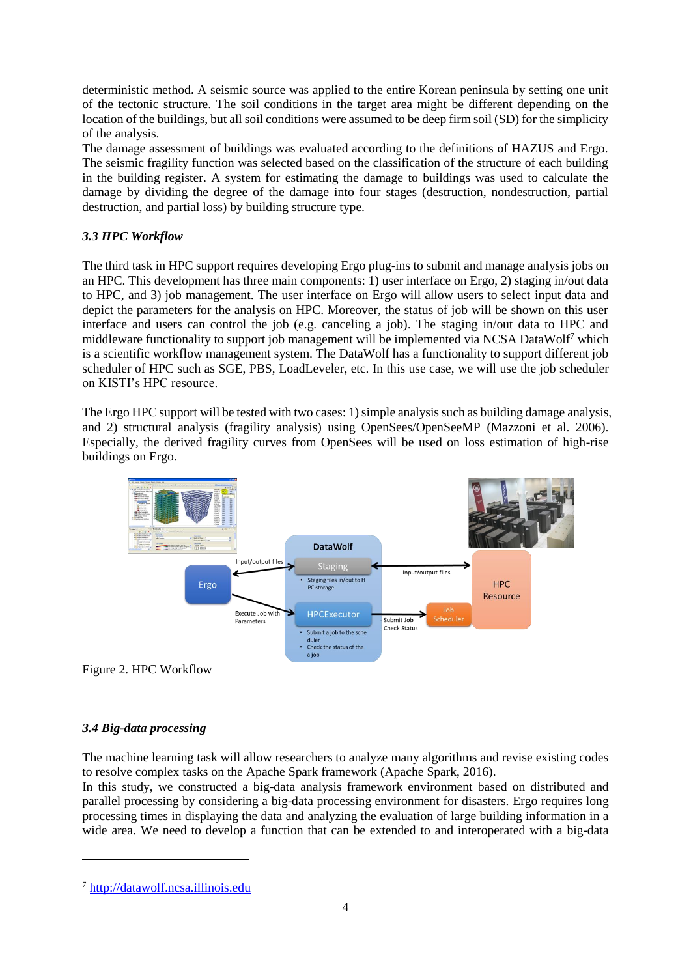deterministic method. A seismic source was applied to the entire Korean peninsula by setting one unit of the tectonic structure. The soil conditions in the target area might be different depending on the location of the buildings, but all soil conditions were assumed to be deep firm soil (SD) for the simplicity of the analysis.

The damage assessment of buildings was evaluated according to the definitions of HAZUS and Ergo. The seismic fragility function was selected based on the classification of the structure of each building in the building register. A system for estimating the damage to buildings was used to calculate the damage by dividing the degree of the damage into four stages (destruction, nondestruction, partial destruction, and partial loss) by building structure type.

# *3.3 HPC Workflow*

The third task in HPC support requires developing Ergo plug-ins to submit and manage analysis jobs on an HPC. This development has three main components: 1) user interface on Ergo, 2) staging in/out data to HPC, and 3) job management. The user interface on Ergo will allow users to select input data and depict the parameters for the analysis on HPC. Moreover, the status of job will be shown on this user interface and users can control the job (e.g. canceling a job). The staging in/out data to HPC and middleware functionality to support job management will be implemented via NCSA DataWolf<sup>7</sup> which is a scientific workflow management system. The DataWolf has a functionality to support different job scheduler of HPC such as SGE, PBS, LoadLeveler, etc. In this use case, we will use the job scheduler on KISTI's HPC resource.

The Ergo HPC support will be tested with two cases: 1) simple analysis such as building damage analysis, and 2) structural analysis (fragility analysis) using OpenSees/OpenSeeMP (Mazzoni et al. 2006). Especially, the derived fragility curves from OpenSees will be used on loss estimation of high-rise buildings on Ergo.



Figure 2. HPC Workflow

# *3.4 Big-data processing*

l

The machine learning task will allow researchers to analyze many algorithms and revise existing codes to resolve complex tasks on the Apache Spark framework (Apache Spark, 2016).

In this study, we constructed a big-data analysis framework environment based on distributed and parallel processing by considering a big-data processing environment for disasters. Ergo requires long processing times in displaying the data and analyzing the evaluation of large building information in a wide area. We need to develop a function that can be extended to and interoperated with a big-data

<sup>7</sup> [http://datawolf.ncsa.illinois.edu](http://datawolf.ncsa.illinois.edu/)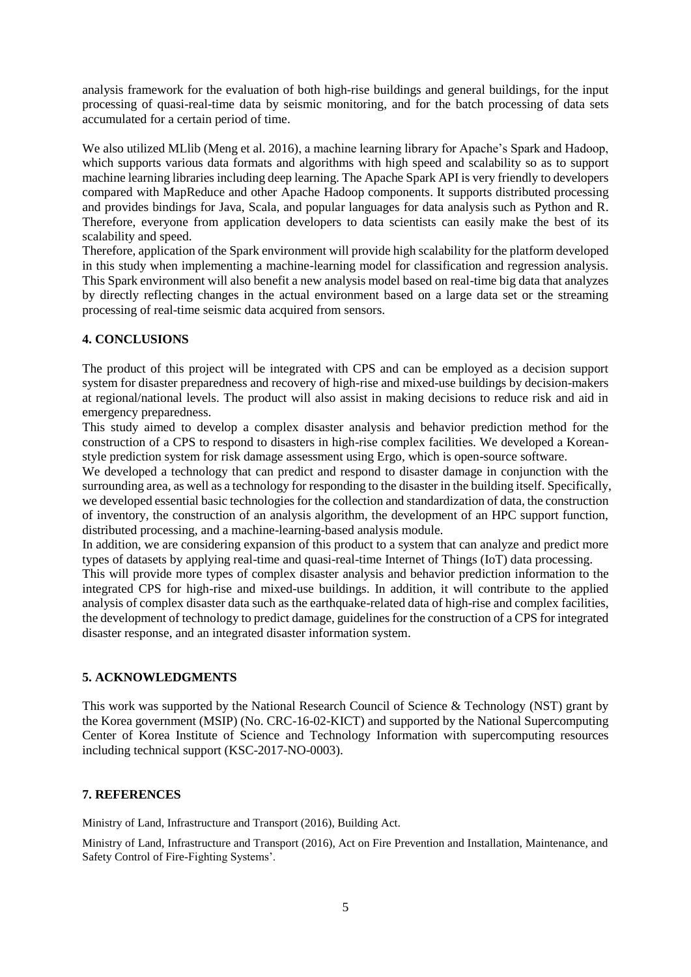analysis framework for the evaluation of both high-rise buildings and general buildings, for the input processing of quasi-real-time data by seismic monitoring, and for the batch processing of data sets accumulated for a certain period of time.

We also utilized MLlib (Meng et al. 2016), a machine learning library for Apache's Spark and Hadoop, which supports various data formats and algorithms with high speed and scalability so as to support machine learning libraries including deep learning. The Apache Spark API is very friendly to developers compared with MapReduce and other Apache Hadoop components. It supports distributed processing and provides bindings for Java, Scala, and popular languages for data analysis such as Python and R. Therefore, everyone from application developers to data scientists can easily make the best of its scalability and speed.

Therefore, application of the Spark environment will provide high scalability for the platform developed in this study when implementing a machine-learning model for classification and regression analysis. This Spark environment will also benefit a new analysis model based on real-time big data that analyzes by directly reflecting changes in the actual environment based on a large data set or the streaming processing of real-time seismic data acquired from sensors.

# **4. CONCLUSIONS**

The product of this project will be integrated with CPS and can be employed as a decision support system for disaster preparedness and recovery of high-rise and mixed-use buildings by decision-makers at regional/national levels. The product will also assist in making decisions to reduce risk and aid in emergency preparedness.

This study aimed to develop a complex disaster analysis and behavior prediction method for the construction of a CPS to respond to disasters in high-rise complex facilities. We developed a Koreanstyle prediction system for risk damage assessment using Ergo, which is open-source software.

We developed a technology that can predict and respond to disaster damage in conjunction with the surrounding area, as well as a technology for responding to the disaster in the building itself. Specifically, we developed essential basic technologies for the collection and standardization of data, the construction of inventory, the construction of an analysis algorithm, the development of an HPC support function, distributed processing, and a machine-learning-based analysis module.

In addition, we are considering expansion of this product to a system that can analyze and predict more types of datasets by applying real-time and quasi-real-time Internet of Things (IoT) data processing.

This will provide more types of complex disaster analysis and behavior prediction information to the integrated CPS for high-rise and mixed-use buildings. In addition, it will contribute to the applied analysis of complex disaster data such as the earthquake-related data of high-rise and complex facilities, the development of technology to predict damage, guidelines for the construction of a CPS for integrated disaster response, and an integrated disaster information system.

#### **5. ACKNOWLEDGMENTS**

This work was supported by the National Research Council of Science & Technology (NST) grant by the Korea government (MSIP) (No. CRC-16-02-KICT) and supported by the National Supercomputing Center of Korea Institute of Science and Technology Information with supercomputing resources including technical support (KSC-2017-NO-0003).

#### **7. REFERENCES**

Ministry of Land, Infrastructure and Transport (2016), Building Act.

Ministry of Land, Infrastructure and Transport (2016), Act on Fire Prevention and Installation, Maintenance, and Safety Control of Fire-Fighting Systems'.